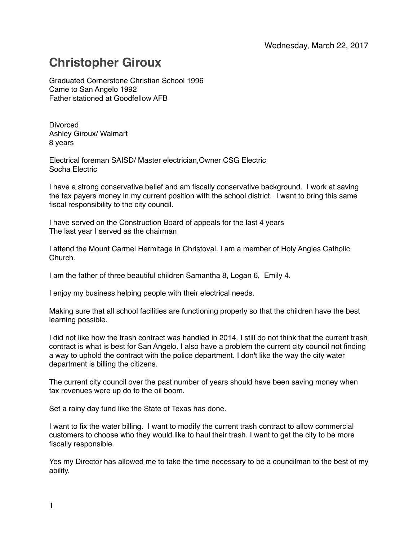## **Christopher Giroux**

Graduated Cornerstone Christian School 1996 Came to San Angelo 1992 Father stationed at Goodfellow AFB

Divorced Ashley Giroux/ Walmart 8 years

Electrical foreman SAISD/ Master electrician,Owner CSG Electric Socha Electric

I have a strong conservative belief and am fiscally conservative background. I work at saving the tax payers money in my current position with the school district. I want to bring this same fiscal responsibility to the city council.

I have served on the Construction Board of appeals for the last 4 years The last year I served as the chairman

I attend the Mount Carmel Hermitage in Christoval. I am a member of Holy Angles Catholic Church.

I am the father of three beautiful children Samantha 8, Logan 6, Emily 4.

I enjoy my business helping people with their electrical needs.

Making sure that all school facilities are functioning properly so that the children have the best learning possible.

I did not like how the trash contract was handled in 2014. I still do not think that the current trash contract is what is best for San Angelo. I also have a problem the current city council not finding a way to uphold the contract with the police department. I don't like the way the city water department is billing the citizens.

The current city council over the past number of years should have been saving money when tax revenues were up do to the oil boom.

Set a rainy day fund like the State of Texas has done.

I want to fix the water billing. I want to modify the current trash contract to allow commercial customers to choose who they would like to haul their trash. I want to get the city to be more fiscally responsible.

Yes my Director has allowed me to take the time necessary to be a councilman to the best of my ability.